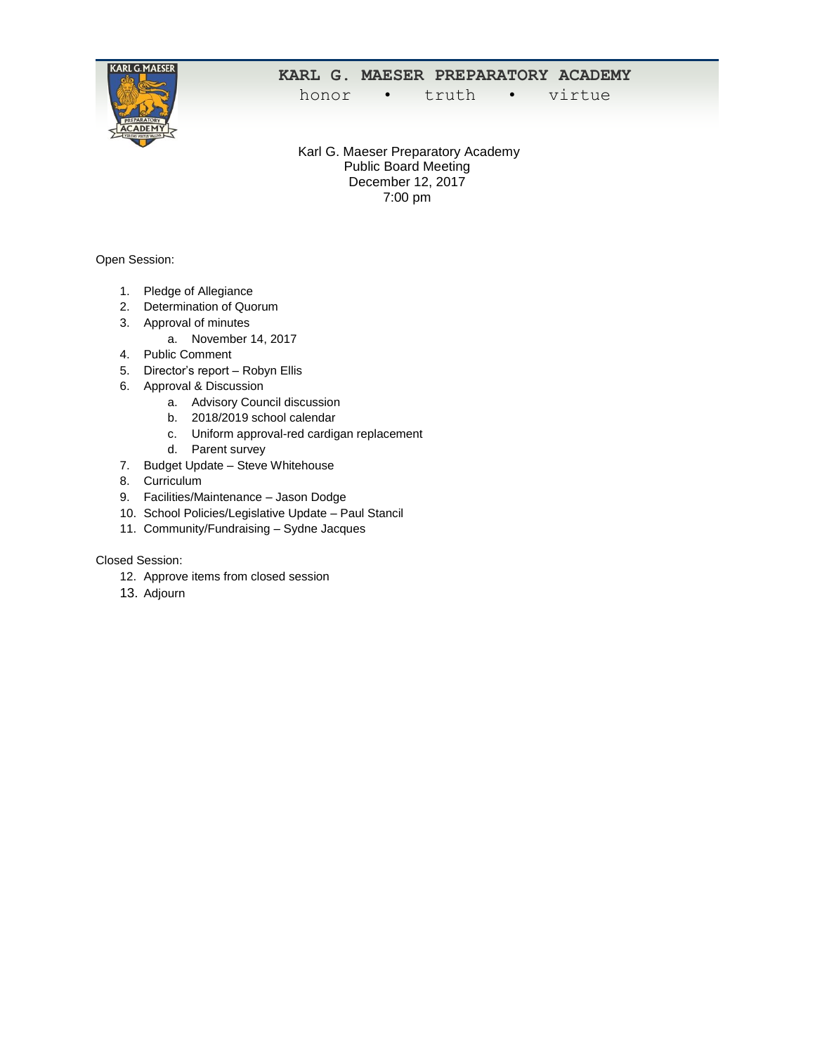

## **KARL G. MAESER PREPARATORY ACADEMY**

honor • truth • virtue

Karl G. Maeser Preparatory Academy Public Board Meeting December 12, 2017 7:00 pm

Open Session:

- 1. Pledge of Allegiance
- 2. Determination of Quorum
- 3. Approval of minutes
	- a. November 14, 2017
- 4. Public Comment
- 5. Director's report Robyn Ellis
- 6. Approval & Discussion
	- a. Advisory Council discussion
	- b. 2018/2019 school calendar
	- c. Uniform approval-red cardigan replacement
	- d. Parent survey
- 7. Budget Update Steve Whitehouse
- 8. Curriculum
- 9. Facilities/Maintenance Jason Dodge
- 10. School Policies/Legislative Update Paul Stancil
- 11. Community/Fundraising Sydne Jacques

## Closed Session:

- 12. Approve items from closed session
- 13. Adjourn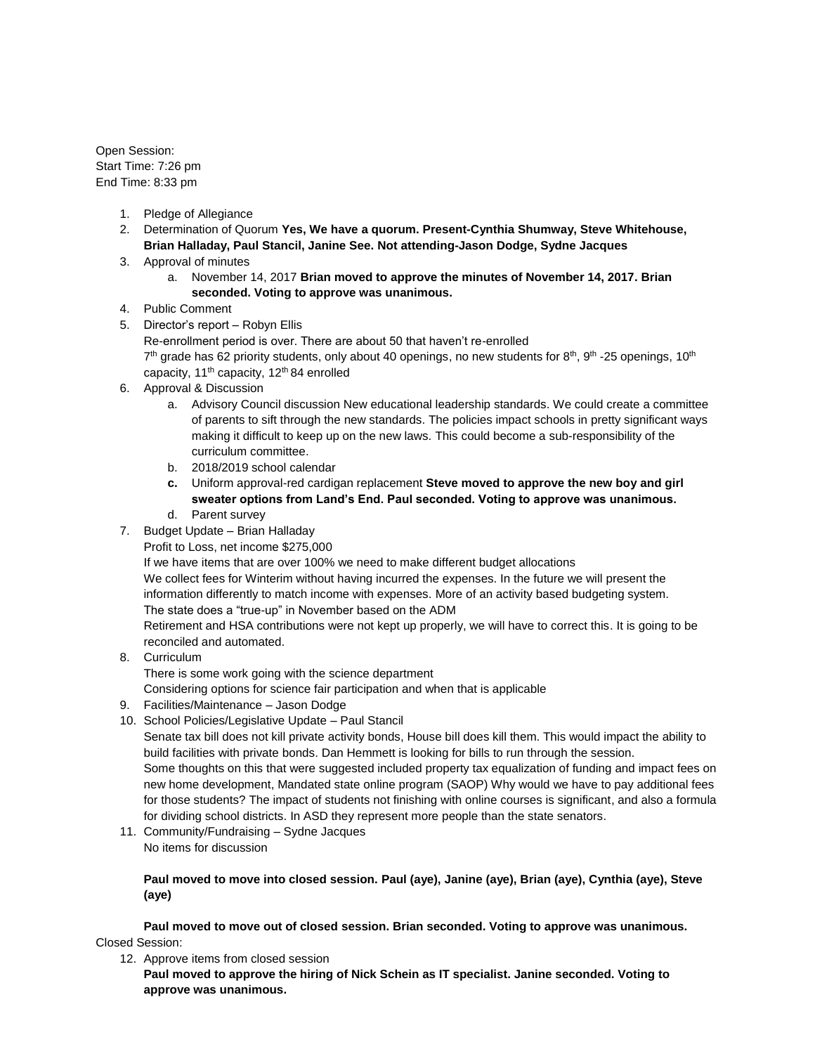Open Session: Start Time: 7:26 pm End Time: 8:33 pm

- 1. Pledge of Allegiance
- 2. Determination of Quorum **Yes, We have a quorum. Present-Cynthia Shumway, Steve Whitehouse, Brian Halladay, Paul Stancil, Janine See. Not attending-Jason Dodge, Sydne Jacques**
- 3. Approval of minutes
	- a. November 14, 2017 **Brian moved to approve the minutes of November 14, 2017. Brian seconded. Voting to approve was unanimous.**
- 4. Public Comment
- 5. Director's report Robyn Ellis

Re-enrollment period is over. There are about 50 that haven't re-enrolled 7<sup>th</sup> grade has 62 priority students, only about 40 openings, no new students for 8<sup>th</sup>, 9<sup>th</sup> -25 openings, 10<sup>th</sup> capacity, 11<sup>th</sup> capacity, 12<sup>th</sup> 84 enrolled

- 6. Approval & Discussion
	- a. Advisory Council discussion New educational leadership standards. We could create a committee of parents to sift through the new standards. The policies impact schools in pretty significant ways making it difficult to keep up on the new laws. This could become a sub-responsibility of the curriculum committee.
	- b. 2018/2019 school calendar
	- **c.** Uniform approval-red cardigan replacement **Steve moved to approve the new boy and girl sweater options from Land's End. Paul seconded. Voting to approve was unanimous.**
	- d. Parent survey
- 7. Budget Update Brian Halladay
	- Profit to Loss, net income \$275,000

If we have items that are over 100% we need to make different budget allocations

We collect fees for Winterim without having incurred the expenses. In the future we will present the information differently to match income with expenses. More of an activity based budgeting system. The state does a "true-up" in November based on the ADM

Retirement and HSA contributions were not kept up properly, we will have to correct this. It is going to be reconciled and automated.

- 8. Curriculum
	- There is some work going with the science department

Considering options for science fair participation and when that is applicable

- 9. Facilities/Maintenance Jason Dodge
- 10. School Policies/Legislative Update Paul Stancil

Senate tax bill does not kill private activity bonds, House bill does kill them. This would impact the ability to build facilities with private bonds. Dan Hemmett is looking for bills to run through the session.

Some thoughts on this that were suggested included property tax equalization of funding and impact fees on new home development, Mandated state online program (SAOP) Why would we have to pay additional fees for those students? The impact of students not finishing with online courses is significant, and also a formula for dividing school districts. In ASD they represent more people than the state senators.

11. Community/Fundraising – Sydne Jacques No items for discussion

## **Paul moved to move into closed session. Paul (aye), Janine (aye), Brian (aye), Cynthia (aye), Steve (aye)**

**Paul moved to move out of closed session. Brian seconded. Voting to approve was unanimous.** Closed Session:

12. Approve items from closed session

**Paul moved to approve the hiring of Nick Schein as IT specialist. Janine seconded. Voting to approve was unanimous.**